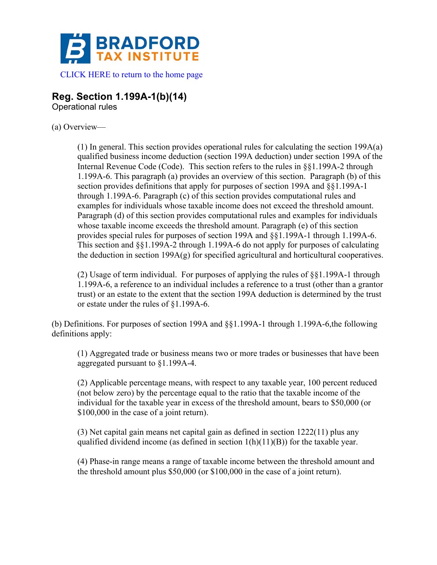

**Reg. Section 1.199A-1(b)(14)** 

Operational rules

## (a) Overview—

(1) In general. This section provides operational rules for calculating the section 199A(a) qualified business income deduction (section 199A deduction) under section 199A of the Internal Revenue Code (Code). This section refers to the rules in §§1.199A-2 through 1.199A-6. This paragraph (a) provides an overview of this section. Paragraph (b) of this section provides definitions that apply for purposes of section 199A and §§1.199A-1 through 1.199A-6. Paragraph (c) of this section provides computational rules and examples for individuals whose taxable income does not exceed the threshold amount. Paragraph (d) of this section provides computational rules and examples for individuals whose taxable income exceeds the threshold amount. Paragraph (e) of this section provides special rules for purposes of section 199A and §§1.199A-1 through 1.199A-6. This section and §§1.199A-2 through 1.199A-6 do not apply for purposes of calculating the deduction in section 199A(g) for specified agricultural and horticultural cooperatives.

(2) Usage of term individual. For purposes of applying the rules of §§1.199A-1 through 1.199A-6, a reference to an individual includes a reference to a trust (other than a grantor trust) or an estate to the extent that the section 199A deduction is determined by the trust or estate under the rules of §1.199A-6.

(b) Definitions. For purposes of section 199A and §§1.199A-1 through 1.199A-6,the following definitions apply:

(1) Aggregated trade or business means two or more trades or businesses that have been aggregated pursuant to §1.199A-4.

(2) Applicable percentage means, with respect to any taxable year, 100 percent reduced (not below zero) by the percentage equal to the ratio that the taxable income of the individual for the taxable year in excess of the threshold amount, bears to \$50,000 (or \$100,000 in the case of a joint return).

(3) Net capital gain means net capital gain as defined in section 1222(11) plus any qualified dividend income (as defined in section  $1(h)(11)(B)$ ) for the taxable year.

(4) Phase-in range means a range of taxable income between the threshold amount and the threshold amount plus \$50,000 (or \$100,000 in the case of a joint return).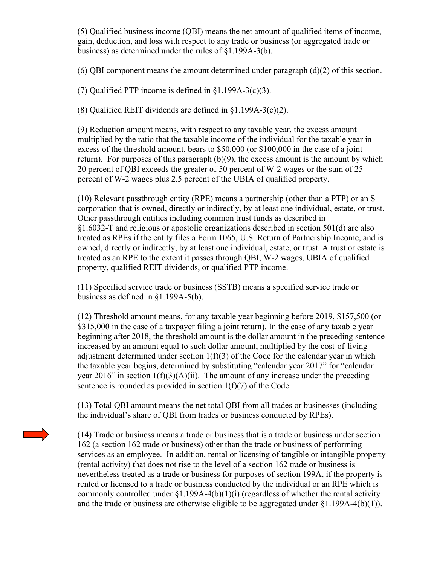(5) Qualified business income (QBI) means the net amount of qualified items of income, gain, deduction, and loss with respect to any trade or business (or aggregated trade or business) as determined under the rules of §1.199A-3(b).

(6) QBI component means the amount determined under paragraph (d)(2) of this section.

(7) Qualified PTP income is defined in §1.199A-3(c)(3).

(8) Qualified REIT dividends are defined in §1.199A-3(c)(2).

(9) Reduction amount means, with respect to any taxable year, the excess amount multiplied by the ratio that the taxable income of the individual for the taxable year in excess of the threshold amount, bears to \$50,000 (or \$100,000 in the case of a joint return). For purposes of this paragraph  $(b)(9)$ , the excess amount is the amount by which 20 percent of QBI exceeds the greater of 50 percent of W-2 wages or the sum of 25 percent of W-2 wages plus 2.5 percent of the UBIA of qualified property.

(10) Relevant passthrough entity (RPE) means a partnership (other than a PTP) or an S corporation that is owned, directly or indirectly, by at least one individual, estate, or trust. Other passthrough entities including common trust funds as described in §1.6032-T and religious or apostolic organizations described in section 501(d) are also treated as RPEs if the entity files a Form 1065, U.S. Return of Partnership Income, and is owned, directly or indirectly, by at least one individual, estate, or trust. A trust or estate is treated as an RPE to the extent it passes through QBI, W-2 wages, UBIA of qualified property, qualified REIT dividends, or qualified PTP income.

(11) Specified service trade or business (SSTB) means a specified service trade or business as defined in §1.199A-5(b).

(12) Threshold amount means, for any taxable year beginning before 2019, \$157,500 (or \$315,000 in the case of a taxpayer filing a joint return). In the case of any taxable year beginning after 2018, the threshold amount is the dollar amount in the preceding sentence increased by an amount equal to such dollar amount, multiplied by the cost-of-living adjustment determined under section  $1(f)(3)$  of the Code for the calendar year in which the taxable year begins, determined by substituting "calendar year 2017" for "calendar year 2016" in section  $1(f)(3)(A)(ii)$ . The amount of any increase under the preceding sentence is rounded as provided in section 1(f)(7) of the Code.

(13) Total QBI amount means the net total QBI from all trades or businesses (including the individual's share of QBI from trades or business conducted by RPEs).

(14) Trade or business means a trade or business that is a trade or business under section 162 (a section 162 trade or business) other than the trade or business of performing services as an employee. In addition, rental or licensing of tangible or intangible property (rental activity) that does not rise to the level of a section 162 trade or business is nevertheless treated as a trade or business for purposes of section 199A, if the property is rented or licensed to a trade or business conducted by the individual or an RPE which is commonly controlled under §1.199A-4(b)(1)(i) (regardless of whether the rental activity and the trade or business are otherwise eligible to be aggregated under  $\S1.199A-4(b)(1)$ .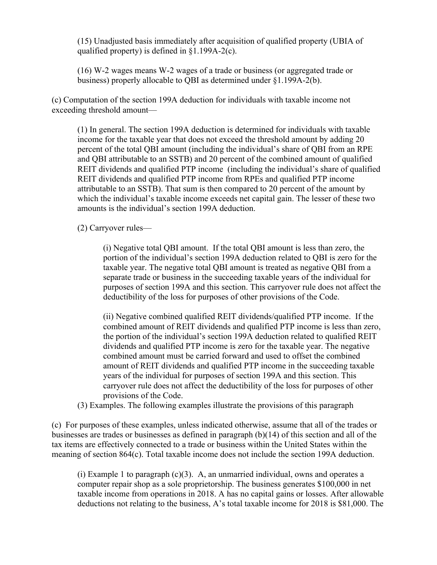(15) Unadjusted basis immediately after acquisition of qualified property (UBIA of qualified property) is defined in §1.199A-2(c).

(16) W-2 wages means W-2 wages of a trade or business (or aggregated trade or business) properly allocable to QBI as determined under §1.199A-2(b).

(c) Computation of the section 199A deduction for individuals with taxable income not exceeding threshold amount—

(1) In general. The section 199A deduction is determined for individuals with taxable income for the taxable year that does not exceed the threshold amount by adding 20 percent of the total QBI amount (including the individual's share of QBI from an RPE and QBI attributable to an SSTB) and 20 percent of the combined amount of qualified REIT dividends and qualified PTP income (including the individual's share of qualified REIT dividends and qualified PTP income from RPEs and qualified PTP income attributable to an SSTB). That sum is then compared to 20 percent of the amount by which the individual's taxable income exceeds net capital gain. The lesser of these two amounts is the individual's section 199A deduction.

(2) Carryover rules—

(i) Negative total QBI amount. If the total QBI amount is less than zero, the portion of the individual's section 199A deduction related to QBI is zero for the taxable year. The negative total QBI amount is treated as negative QBI from a separate trade or business in the succeeding taxable years of the individual for purposes of section 199A and this section. This carryover rule does not affect the deductibility of the loss for purposes of other provisions of the Code.

(ii) Negative combined qualified REIT dividends/qualified PTP income. If the combined amount of REIT dividends and qualified PTP income is less than zero, the portion of the individual's section 199A deduction related to qualified REIT dividends and qualified PTP income is zero for the taxable year. The negative combined amount must be carried forward and used to offset the combined amount of REIT dividends and qualified PTP income in the succeeding taxable years of the individual for purposes of section 199A and this section. This carryover rule does not affect the deductibility of the loss for purposes of other provisions of the Code.

(3) Examples. The following examples illustrate the provisions of this paragraph

(c) For purposes of these examples, unless indicated otherwise, assume that all of the trades or businesses are trades or businesses as defined in paragraph (b)(14) of this section and all of the tax items are effectively connected to a trade or business within the United States within the meaning of section 864(c). Total taxable income does not include the section 199A deduction.

(i) Example 1 to paragraph  $(c)(3)$ . A, an unmarried individual, owns and operates a computer repair shop as a sole proprietorship. The business generates \$100,000 in net taxable income from operations in 2018. A has no capital gains or losses. After allowable deductions not relating to the business, A's total taxable income for 2018 is \$81,000. The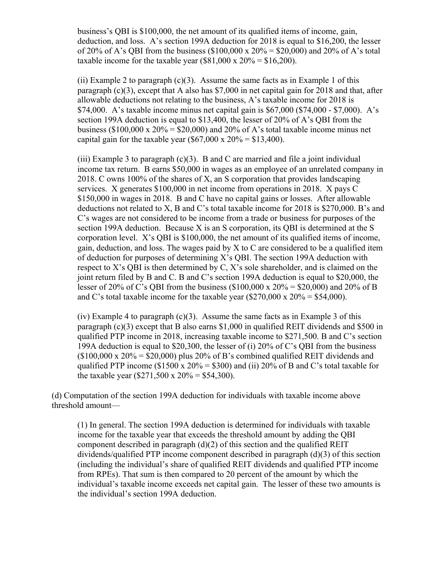business's QBI is \$100,000, the net amount of its qualified items of income, gain, deduction, and loss. A's section 199A deduction for 2018 is equal to \$16,200, the lesser of 20% of A's OBI from the business  $(\$100,000 \times 20\% = \$20,000)$  and 20% of A's total taxable income for the taxable year  $(\$81,000 \times 20\% = \$16,200)$ .

(ii) Example 2 to paragraph  $(c)(3)$ . Assume the same facts as in Example 1 of this paragraph (c)(3), except that A also has \$7,000 in net capital gain for 2018 and that, after allowable deductions not relating to the business, A's taxable income for 2018 is \$74,000. A's taxable income minus net capital gain is \$67,000 (\$74,000 - \$7,000). A's section 199A deduction is equal to \$13,400, the lesser of 20% of A's QBI from the business (\$100,000 x  $20\% =$  \$20,000) and  $20\%$  of A's total taxable income minus net capital gain for the taxable year (\$67,000 x  $20\% = $13,400$ ).

(iii) Example 3 to paragraph  $(c)(3)$ . B and C are married and file a joint individual income tax return. B earns \$50,000 in wages as an employee of an unrelated company in 2018. C owns 100% of the shares of X, an S corporation that provides landscaping services. X generates \$100,000 in net income from operations in 2018. X pays C \$150,000 in wages in 2018. B and C have no capital gains or losses. After allowable deductions not related to X, B and C's total taxable income for 2018 is \$270,000. B's and C's wages are not considered to be income from a trade or business for purposes of the section 199A deduction. Because X is an S corporation, its QBI is determined at the S corporation level. X's QBI is \$100,000, the net amount of its qualified items of income, gain, deduction, and loss. The wages paid by X to C are considered to be a qualified item of deduction for purposes of determining X's QBI. The section 199A deduction with respect to X's QBI is then determined by C, X's sole shareholder, and is claimed on the joint return filed by B and C. B and C's section 199A deduction is equal to \$20,000, the lesser of 20% of C's QBI from the business (\$100,000 x  $20\% = $20,000$ ) and 20% of B and C's total taxable income for the taxable year  $(\$270,000 \times 20\% = \$54,000)$ .

(iv) Example 4 to paragraph  $(c)(3)$ . Assume the same facts as in Example 3 of this paragraph (c)(3) except that B also earns \$1,000 in qualified REIT dividends and \$500 in qualified PTP income in 2018, increasing taxable income to \$271,500. B and C's section 199A deduction is equal to \$20,300, the lesser of (i) 20% of C's QBI from the business  $($100,000 \times 20\% = $20,000)$  plus 20% of B's combined qualified REIT dividends and qualified PTP income (\$1500 x  $20\% = $300$ ) and (ii)  $20\%$  of B and C's total taxable for the taxable year (\$271,500 x  $20\% = $54,300$ ).

(d) Computation of the section 199A deduction for individuals with taxable income above threshold amount—

(1) In general. The section 199A deduction is determined for individuals with taxable income for the taxable year that exceeds the threshold amount by adding the QBI component described in paragraph (d)(2) of this section and the qualified REIT dividends/qualified PTP income component described in paragraph (d)(3) of this section (including the individual's share of qualified REIT dividends and qualified PTP income from RPEs). That sum is then compared to 20 percent of the amount by which the individual's taxable income exceeds net capital gain. The lesser of these two amounts is the individual's section 199A deduction.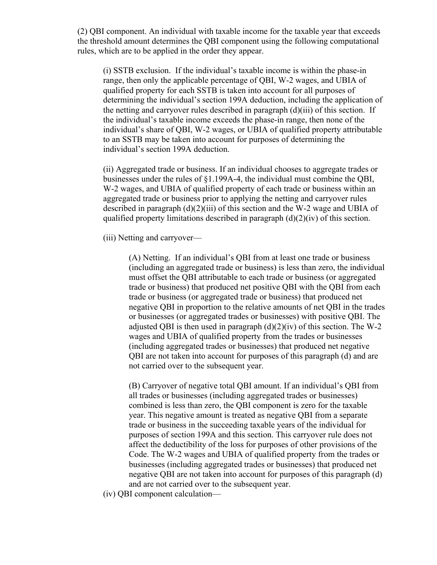(2) QBI component. An individual with taxable income for the taxable year that exceeds the threshold amount determines the QBI component using the following computational rules, which are to be applied in the order they appear.

(i) SSTB exclusion. If the individual's taxable income is within the phase-in range, then only the applicable percentage of QBI, W-2 wages, and UBIA of qualified property for each SSTB is taken into account for all purposes of determining the individual's section 199A deduction, including the application of the netting and carryover rules described in paragraph (d)(iii) of this section. If the individual's taxable income exceeds the phase-in range, then none of the individual's share of QBI, W-2 wages, or UBIA of qualified property attributable to an SSTB may be taken into account for purposes of determining the individual's section 199A deduction.

(ii) Aggregated trade or business. If an individual chooses to aggregate trades or businesses under the rules of §1.199A-4, the individual must combine the QBI, W-2 wages, and UBIA of qualified property of each trade or business within an aggregated trade or business prior to applying the netting and carryover rules described in paragraph (d)(2)(iii) of this section and the W-2 wage and UBIA of qualified property limitations described in paragraph  $(d)(2)(iv)$  of this section.

(iii) Netting and carryover—

(A) Netting. If an individual's QBI from at least one trade or business (including an aggregated trade or business) is less than zero, the individual must offset the QBI attributable to each trade or business (or aggregated trade or business) that produced net positive QBI with the QBI from each trade or business (or aggregated trade or business) that produced net negative QBI in proportion to the relative amounts of net QBI in the trades or businesses (or aggregated trades or businesses) with positive QBI. The adjusted OBI is then used in paragraph  $(d)(2)(iv)$  of this section. The W-2 wages and UBIA of qualified property from the trades or businesses (including aggregated trades or businesses) that produced net negative QBI are not taken into account for purposes of this paragraph (d) and are not carried over to the subsequent year.

(B) Carryover of negative total QBI amount. If an individual's QBI from all trades or businesses (including aggregated trades or businesses) combined is less than zero, the QBI component is zero for the taxable year. This negative amount is treated as negative QBI from a separate trade or business in the succeeding taxable years of the individual for purposes of section 199A and this section. This carryover rule does not affect the deductibility of the loss for purposes of other provisions of the Code. The W-2 wages and UBIA of qualified property from the trades or businesses (including aggregated trades or businesses) that produced net negative QBI are not taken into account for purposes of this paragraph (d) and are not carried over to the subsequent year.

(iv) QBI component calculation—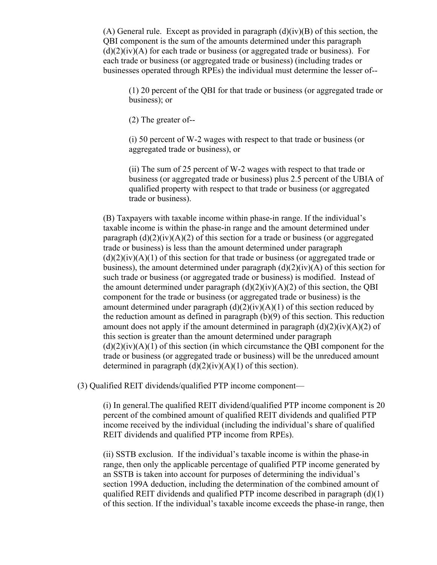(A) General rule. Except as provided in paragraph  $(d)(iv)(B)$  of this section, the QBI component is the sum of the amounts determined under this paragraph  $(d)(2)(iv)(A)$  for each trade or business (or aggregated trade or business). For each trade or business (or aggregated trade or business) (including trades or businesses operated through RPEs) the individual must determine the lesser of--

(1) 20 percent of the QBI for that trade or business (or aggregated trade or business); or

(2) The greater of--

(i) 50 percent of W-2 wages with respect to that trade or business (or aggregated trade or business), or

(ii) The sum of 25 percent of W-2 wages with respect to that trade or business (or aggregated trade or business) plus 2.5 percent of the UBIA of qualified property with respect to that trade or business (or aggregated trade or business).

(B) Taxpayers with taxable income within phase-in range. If the individual's taxable income is within the phase-in range and the amount determined under paragraph  $(d)(2)(iv)(A)(2)$  of this section for a trade or business (or aggregated trade or business) is less than the amount determined under paragraph  $(d)(2)(iv)(A)(1)$  of this section for that trade or business (or aggregated trade or business), the amount determined under paragraph  $(d)(2)(iv)(A)$  of this section for such trade or business (or aggregated trade or business) is modified. Instead of the amount determined under paragraph  $(d)(2)(iv)(A)(2)$  of this section, the QBI component for the trade or business (or aggregated trade or business) is the amount determined under paragraph  $(d)(2)(iv)(A)(1)$  of this section reduced by the reduction amount as defined in paragraph (b)(9) of this section. This reduction amount does not apply if the amount determined in paragraph  $(d)(2)(iv)(A)(2)$  of this section is greater than the amount determined under paragraph  $(d)(2)(iv)(A)(1)$  of this section (in which circumstance the OBI component for the trade or business (or aggregated trade or business) will be the unreduced amount determined in paragraph  $(d)(2)(iv)(A)(1)$  of this section).

(3) Qualified REIT dividends/qualified PTP income component—

(i) In general.The qualified REIT dividend/qualified PTP income component is 20 percent of the combined amount of qualified REIT dividends and qualified PTP income received by the individual (including the individual's share of qualified REIT dividends and qualified PTP income from RPEs).

(ii) SSTB exclusion. If the individual's taxable income is within the phase-in range, then only the applicable percentage of qualified PTP income generated by an SSTB is taken into account for purposes of determining the individual's section 199A deduction, including the determination of the combined amount of qualified REIT dividends and qualified PTP income described in paragraph (d)(1) of this section. If the individual's taxable income exceeds the phase-in range, then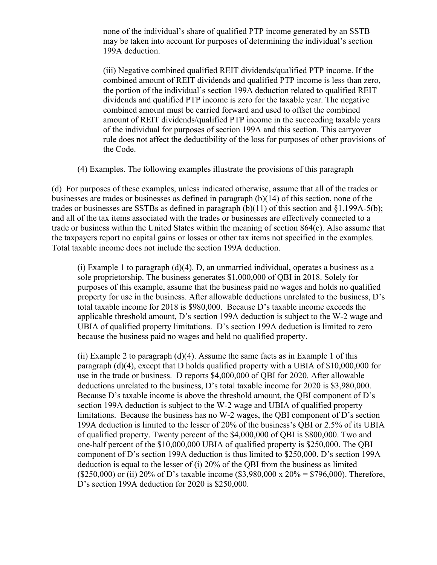none of the individual's share of qualified PTP income generated by an SSTB may be taken into account for purposes of determining the individual's section 199A deduction.

(iii) Negative combined qualified REIT dividends/qualified PTP income. If the combined amount of REIT dividends and qualified PTP income is less than zero, the portion of the individual's section 199A deduction related to qualified REIT dividends and qualified PTP income is zero for the taxable year. The negative combined amount must be carried forward and used to offset the combined amount of REIT dividends/qualified PTP income in the succeeding taxable years of the individual for purposes of section 199A and this section. This carryover rule does not affect the deductibility of the loss for purposes of other provisions of the Code.

(4) Examples. The following examples illustrate the provisions of this paragraph

(d) For purposes of these examples, unless indicated otherwise, assume that all of the trades or businesses are trades or businesses as defined in paragraph (b)(14) of this section, none of the trades or businesses are SSTBs as defined in paragraph (b)(11) of this section and §1.199A-5(b); and all of the tax items associated with the trades or businesses are effectively connected to a trade or business within the United States within the meaning of section 864(c). Also assume that the taxpayers report no capital gains or losses or other tax items not specified in the examples. Total taxable income does not include the section 199A deduction.

(i) Example 1 to paragraph (d)(4). D, an unmarried individual, operates a business as a sole proprietorship. The business generates \$1,000,000 of QBI in 2018. Solely for purposes of this example, assume that the business paid no wages and holds no qualified property for use in the business. After allowable deductions unrelated to the business, D's total taxable income for 2018 is \$980,000. Because D's taxable income exceeds the applicable threshold amount, D's section 199A deduction is subject to the W-2 wage and UBIA of qualified property limitations. D's section 199A deduction is limited to zero because the business paid no wages and held no qualified property.

(ii) Example 2 to paragraph (d)(4). Assume the same facts as in Example 1 of this paragraph (d)(4), except that D holds qualified property with a UBIA of \$10,000,000 for use in the trade or business. D reports \$4,000,000 of QBI for 2020. After allowable deductions unrelated to the business, D's total taxable income for 2020 is \$3,980,000. Because D's taxable income is above the threshold amount, the QBI component of D's section 199A deduction is subject to the W-2 wage and UBIA of qualified property limitations. Because the business has no W-2 wages, the QBI component of D's section 199A deduction is limited to the lesser of 20% of the business's QBI or 2.5% of its UBIA of qualified property. Twenty percent of the \$4,000,000 of QBI is \$800,000. Two and one-half percent of the \$10,000,000 UBIA of qualified property is \$250,000. The QBI component of D's section 199A deduction is thus limited to \$250,000. D's section 199A deduction is equal to the lesser of (i) 20% of the QBI from the business as limited (\$250,000) or (ii) 20% of D's taxable income (\$3,980,000 x 20% = \$796,000). Therefore, D's section 199A deduction for 2020 is \$250,000.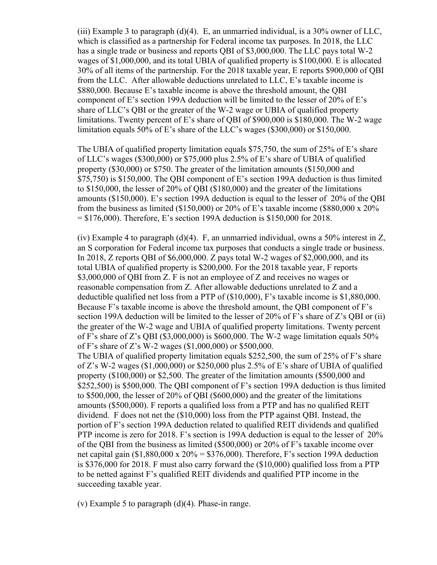(iii) Example 3 to paragraph  $(d)(4)$ . E, an unmarried individual, is a 30% owner of LLC, which is classified as a partnership for Federal income tax purposes. In 2018, the LLC has a single trade or business and reports QBI of \$3,000,000. The LLC pays total W-2 wages of \$1,000,000, and its total UBIA of qualified property is \$100,000. E is allocated 30% of all items of the partnership. For the 2018 taxable year, E reports \$900,000 of QBI from the LLC. After allowable deductions unrelated to LLC, E's taxable income is \$880,000. Because E's taxable income is above the threshold amount, the QBI component of E's section 199A deduction will be limited to the lesser of 20% of E's share of LLC's QBI or the greater of the W-2 wage or UBIA of qualified property limitations. Twenty percent of E's share of QBI of \$900,000 is \$180,000. The W-2 wage limitation equals 50% of E's share of the LLC's wages (\$300,000) or \$150,000.

The UBIA of qualified property limitation equals \$75,750, the sum of 25% of E's share of LLC's wages (\$300,000) or \$75,000 plus 2.5% of E's share of UBIA of qualified property (\$30,000) or \$750. The greater of the limitation amounts (\$150,000 and \$75,750) is \$150,000. The QBI component of E's section 199A deduction is thus limited to \$150,000, the lesser of 20% of QBI (\$180,000) and the greater of the limitations amounts (\$150,000). E's section 199A deduction is equal to the lesser of 20% of the QBI from the business as limited (\$150,000) or 20% of E's taxable income (\$880,000 x 20%  $= $176,000$ ). Therefore, E's section 199A deduction is \$150,000 for 2018.

(iv) Example 4 to paragraph  $(d)(4)$ . F, an unmarried individual, owns a 50% interest in Z, an S corporation for Federal income tax purposes that conducts a single trade or business. In 2018, Z reports QBI of \$6,000,000. Z pays total W-2 wages of \$2,000,000, and its total UBIA of qualified property is \$200,000. For the 2018 taxable year, F reports \$3,000,000 of QBI from Z. F is not an employee of Z and receives no wages or reasonable compensation from Z. After allowable deductions unrelated to Z and a deductible qualified net loss from a PTP of (\$10,000), F's taxable income is \$1,880,000. Because F's taxable income is above the threshold amount, the QBI component of F's section 199A deduction will be limited to the lesser of 20% of F's share of Z's QBI or (ii) the greater of the W-2 wage and UBIA of qualified property limitations. Twenty percent of F's share of Z's QBI (\$3,000,000) is \$600,000. The W-2 wage limitation equals  $50\%$ of F's share of Z's W-2 wages (\$1,000,000) or \$500,000. The UBIA of qualified property limitation equals \$252,500, the sum of 25% of F's share of Z's W-2 wages (\$1,000,000) or \$250,000 plus 2.5% of E's share of UBIA of qualified property (\$100,000) or \$2,500. The greater of the limitation amounts (\$500,000 and \$252,500) is \$500,000. The QBI component of F's section 199A deduction is thus limited to \$500,000, the lesser of 20% of QBI (\$600,000) and the greater of the limitations amounts (\$500,000). F reports a qualified loss from a PTP and has no qualified REIT dividend. F does not net the (\$10,000) loss from the PTP against QBI. Instead, the portion of F's section 199A deduction related to qualified REIT dividends and qualified PTP income is zero for 2018. F's section is 199A deduction is equal to the lesser of 20% of the QBI from the business as limited (\$500,000) or 20% of F's taxable income over net capital gain  $$1,880,000 \times 20\% = $376,000$ . Therefore, F's section 199A deduction is \$376,000 for 2018. F must also carry forward the (\$10,000) qualified loss from a PTP to be netted against F's qualified REIT dividends and qualified PTP income in the succeeding taxable year.

(v) Example 5 to paragraph  $(d)(4)$ . Phase-in range.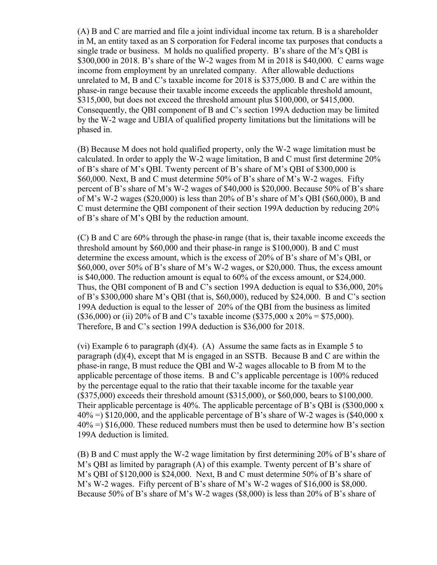(A) B and C are married and file a joint individual income tax return. B is a shareholder in M, an entity taxed as an S corporation for Federal income tax purposes that conducts a single trade or business. M holds no qualified property. B's share of the M's QBI is \$300,000 in 2018. B's share of the W-2 wages from M in 2018 is \$40,000. C earns wage income from employment by an unrelated company. After allowable deductions unrelated to M, B and C's taxable income for 2018 is \$375,000. B and C are within the phase-in range because their taxable income exceeds the applicable threshold amount, \$315,000, but does not exceed the threshold amount plus \$100,000, or \$415,000. Consequently, the QBI component of B and C's section 199A deduction may be limited by the W-2 wage and UBIA of qualified property limitations but the limitations will be phased in.

(B) Because M does not hold qualified property, only the W-2 wage limitation must be calculated. In order to apply the W-2 wage limitation, B and C must first determine 20% of B's share of M's QBI. Twenty percent of B's share of M's QBI of \$300,000 is \$60,000. Next, B and C must determine 50% of B's share of M's W-2 wages. Fifty percent of B's share of M's W-2 wages of \$40,000 is \$20,000. Because 50% of B's share of M's W-2 wages (\$20,000) is less than 20% of B's share of M's QBI (\$60,000), B and C must determine the QBI component of their section 199A deduction by reducing 20% of B's share of M's QBI by the reduction amount.

(C) B and C are 60% through the phase-in range (that is, their taxable income exceeds the threshold amount by \$60,000 and their phase-in range is \$100,000). B and C must determine the excess amount, which is the excess of 20% of B's share of M's QBI, or \$60,000, over 50% of B's share of M's W-2 wages, or \$20,000. Thus, the excess amount is \$40,000. The reduction amount is equal to 60% of the excess amount, or \$24,000. Thus, the QBI component of B and C's section 199A deduction is equal to \$36,000, 20% of B's \$300,000 share M's QBI (that is, \$60,000), reduced by \$24,000. B and C's section 199A deduction is equal to the lesser of 20% of the QBI from the business as limited (\$36,000) or (ii) 20% of B and C's taxable income (\$375,000 x 20% = \$75,000). Therefore, B and C's section 199A deduction is \$36,000 for 2018.

(vi) Example 6 to paragraph  $(d)(4)$ . (A) Assume the same facts as in Example 5 to paragraph (d)(4), except that M is engaged in an SSTB. Because B and C are within the phase-in range, B must reduce the QBI and W-2 wages allocable to B from M to the applicable percentage of those items. B and C's applicable percentage is 100% reduced by the percentage equal to the ratio that their taxable income for the taxable year (\$375,000) exceeds their threshold amount (\$315,000), or \$60,000, bears to \$100,000. Their applicable percentage is 40%. The applicable percentage of B's QBI is (\$300,000 x  $40\%$  =) \$120,000, and the applicable percentage of B's share of W-2 wages is (\$40,000 x 40% =) \$16,000. These reduced numbers must then be used to determine how B's section 199A deduction is limited.

(B) B and C must apply the W-2 wage limitation by first determining 20% of B's share of M's QBI as limited by paragraph  $(A)$  of this example. Twenty percent of B's share of M's QBI of \$120,000 is \$24,000. Next, B and C must determine 50% of B's share of M's W-2 wages. Fifty percent of B's share of M's W-2 wages of \$16,000 is \$8,000. Because 50% of B's share of M's W-2 wages (\$8,000) is less than 20% of B's share of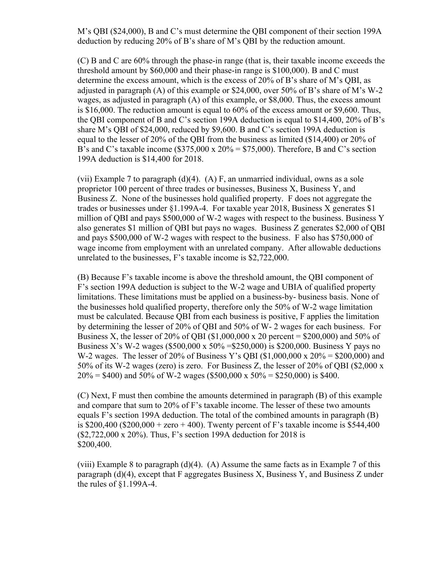M's QBI (\$24,000), B and C's must determine the QBI component of their section 199A deduction by reducing 20% of B's share of M's QBI by the reduction amount.

(C) B and C are 60% through the phase-in range (that is, their taxable income exceeds the threshold amount by \$60,000 and their phase-in range is \$100,000). B and C must determine the excess amount, which is the excess of 20% of B's share of M's QBI, as adjusted in paragraph (A) of this example or \$24,000, over 50% of B's share of M's W-2 wages, as adjusted in paragraph (A) of this example, or \$8,000. Thus, the excess amount is \$16,000. The reduction amount is equal to 60% of the excess amount or \$9,600. Thus, the QBI component of B and C's section 199A deduction is equal to \$14,400, 20% of B's share M's QBI of \$24,000, reduced by \$9,600. B and C's section 199A deduction is equal to the lesser of 20% of the QBI from the business as limited (\$14,400) or 20% of B's and C's taxable income  $(\$375,000 \times 20\% = \$75,000)$ . Therefore, B and C's section 199A deduction is \$14,400 for 2018.

(vii) Example 7 to paragraph  $(d)(4)$ . (A) F, an unmarried individual, owns as a sole proprietor 100 percent of three trades or businesses, Business X, Business Y, and Business Z. None of the businesses hold qualified property. F does not aggregate the trades or businesses under §1.199A-4. For taxable year 2018, Business X generates \$1 million of QBI and pays \$500,000 of W-2 wages with respect to the business. Business Y also generates \$1 million of QBI but pays no wages. Business Z generates \$2,000 of QBI and pays \$500,000 of W-2 wages with respect to the business. F also has \$750,000 of wage income from employment with an unrelated company. After allowable deductions unrelated to the businesses, F's taxable income is \$2,722,000.

(B) Because F's taxable income is above the threshold amount, the QBI component of F's section 199A deduction is subject to the W-2 wage and UBIA of qualified property limitations. These limitations must be applied on a business-by- business basis. None of the businesses hold qualified property, therefore only the 50% of W-2 wage limitation must be calculated. Because QBI from each business is positive, F applies the limitation by determining the lesser of 20% of QBI and 50% of W- 2 wages for each business. For Business X, the lesser of 20% of QBI (\$1,000,000 x 20 percent =  $$200,000$ ) and 50% of Business X's W-2 wages (\$500,000 x 50% =\$250,000) is \$200,000. Business Y pays no W-2 wages. The lesser of 20% of Business Y's OBI (\$1,000,000 x 20% = \$200,000) and 50% of its W-2 wages (zero) is zero. For Business Z, the lesser of 20% of QBI (\$2,000 x  $20\% = $400$ ) and 50% of W-2 wages (\$500,000 x 50% = \$250,000) is \$400.

(C) Next, F must then combine the amounts determined in paragraph (B) of this example and compare that sum to 20% of F's taxable income. The lesser of these two amounts equals F's section 199A deduction. The total of the combined amounts in paragraph (B) is \$200,400 (\$200,000 + zero + 400). Twenty percent of F's taxable income is \$544,400 (\$2,722,000 x 20%). Thus, F's section 199A deduction for 2018 is \$200,400.

(viii) Example 8 to paragraph (d)(4). (A) Assume the same facts as in Example 7 of this paragraph (d)(4), except that F aggregates Business X, Business Y, and Business Z under the rules of §1.199A-4.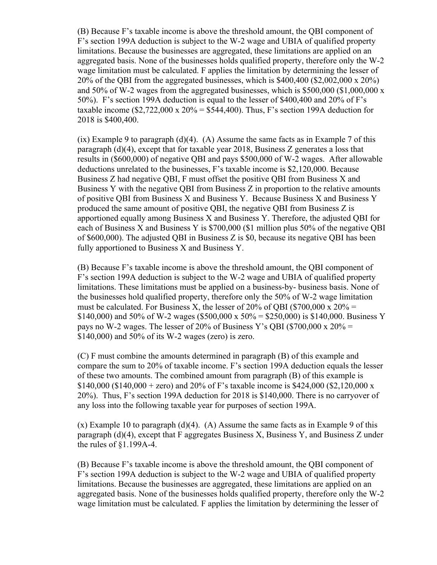(B) Because F's taxable income is above the threshold amount, the QBI component of F's section 199A deduction is subject to the W-2 wage and UBIA of qualified property limitations. Because the businesses are aggregated, these limitations are applied on an aggregated basis. None of the businesses holds qualified property, therefore only the W-2 wage limitation must be calculated. F applies the limitation by determining the lesser of 20% of the QBI from the aggregated businesses, which is \$400,400 (\$2,002,000 x 20%) and 50% of W-2 wages from the aggregated businesses, which is \$500,000 (\$1,000,000 x 50%). F's section 199A deduction is equal to the lesser of \$400,400 and 20% of F's taxable income  $$2,722,000 \times 20\% = $544,400$ . Thus, F's section 199A deduction for 2018 is \$400,400.

 $(ix)$  Example 9 to paragraph  $(d)(4)$ . (A) Assume the same facts as in Example 7 of this paragraph (d)(4), except that for taxable year 2018, Business Z generates a loss that results in (\$600,000) of negative QBI and pays \$500,000 of W-2 wages. After allowable deductions unrelated to the businesses, F's taxable income is \$2,120,000. Because Business Z had negative QBI, F must offset the positive QBI from Business X and Business Y with the negative QBI from Business Z in proportion to the relative amounts of positive QBI from Business X and Business Y. Because Business X and Business Y produced the same amount of positive QBI, the negative QBI from Business Z is apportioned equally among Business X and Business Y. Therefore, the adjusted QBI for each of Business X and Business Y is \$700,000 (\$1 million plus 50% of the negative QBI of \$600,000). The adjusted QBI in Business Z is \$0, because its negative QBI has been fully apportioned to Business X and Business Y.

(B) Because F's taxable income is above the threshold amount, the QBI component of F's section 199A deduction is subject to the W-2 wage and UBIA of qualified property limitations. These limitations must be applied on a business-by- business basis. None of the businesses hold qualified property, therefore only the 50% of W-2 wage limitation must be calculated. For Business X, the lesser of 20% of OBI (\$700,000 x  $20\%$  = \$140,000) and 50% of W-2 wages (\$500,000 x 50% = \$250,000) is \$140,000. Business Y pays no W-2 wages. The lesser of 20% of Business Y's OBI (\$700,000 x  $20\% =$ \$140,000) and 50% of its W-2 wages (zero) is zero.

(C) F must combine the amounts determined in paragraph (B) of this example and compare the sum to 20% of taxable income. F's section 199A deduction equals the lesser of these two amounts. The combined amount from paragraph (B) of this example is \$140,000 (\$140,000 + zero) and 20% of F's taxable income is \$424,000 (\$2,120,000 x) 20%). Thus, F's section 199A deduction for 2018 is \$140,000. There is no carryover of any loss into the following taxable year for purposes of section 199A.

 $(x)$  Example 10 to paragraph  $(d)(4)$ . (A) Assume the same facts as in Example 9 of this paragraph (d)(4), except that F aggregates Business X, Business Y, and Business Z under the rules of §1.199A-4.

(B) Because F's taxable income is above the threshold amount, the QBI component of F's section 199A deduction is subject to the W-2 wage and UBIA of qualified property limitations. Because the businesses are aggregated, these limitations are applied on an aggregated basis. None of the businesses holds qualified property, therefore only the W-2 wage limitation must be calculated. F applies the limitation by determining the lesser of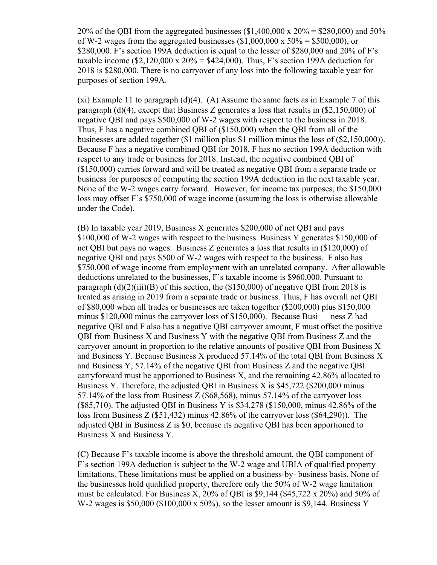20% of the QBI from the aggregated businesses (\$1,400,000 x 20% = \$280,000) and 50% of W-2 wages from the aggregated businesses  $(\text{\$1,000,000 x 50\%} = \$500,000)$ , or \$280,000. F's section 199A deduction is equal to the lesser of \$280,000 and 20% of F's taxable income  $$2,120,000 \times 20\% = $424,000$ . Thus, F's section 199A deduction for 2018 is \$280,000. There is no carryover of any loss into the following taxable year for purposes of section 199A.

 $(xi)$  Example 11 to paragraph  $(d)(4)$ . (A) Assume the same facts as in Example 7 of this paragraph (d)(4), except that Business Z generates a loss that results in (\$2,150,000) of negative QBI and pays \$500,000 of W-2 wages with respect to the business in 2018. Thus, F has a negative combined QBI of (\$150,000) when the QBI from all of the businesses are added together (\$1 million plus \$1 million minus the loss of (\$2,150,000)). Because F has a negative combined QBI for 2018, F has no section 199A deduction with respect to any trade or business for 2018. Instead, the negative combined QBI of (\$150,000) carries forward and will be treated as negative QBI from a separate trade or business for purposes of computing the section 199A deduction in the next taxable year. None of the W-2 wages carry forward. However, for income tax purposes, the \$150,000 loss may offset F's \$750,000 of wage income (assuming the loss is otherwise allowable under the Code).

(B) In taxable year 2019, Business X generates \$200,000 of net QBI and pays \$100,000 of W-2 wages with respect to the business. Business Y generates \$150,000 of net QBI but pays no wages. Business Z generates a loss that results in (\$120,000) of negative QBI and pays \$500 of W-2 wages with respect to the business. F also has \$750,000 of wage income from employment with an unrelated company. After allowable deductions unrelated to the businesses, F's taxable income is \$960,000. Pursuant to paragraph  $(d)(2)(iii)(B)$  of this section, the  $($150,000)$  of negative QBI from 2018 is treated as arising in 2019 from a separate trade or business. Thus, F has overall net QBI of \$80,000 when all trades or businesses are taken together (\$200,000) plus \$150,000 minus \$120,000 minus the carryover loss of \$150,000). Because Busi ness Z had negative QBI and F also has a negative QBI carryover amount, F must offset the positive QBI from Business X and Business Y with the negative QBI from Business Z and the carryover amount in proportion to the relative amounts of positive QBI from Business X and Business Y. Because Business X produced 57.14% of the total QBI from Business X and Business Y, 57.14% of the negative QBI from Business Z and the negative QBI carryforward must be apportioned to Business X, and the remaining 42.86% allocated to Business Y. Therefore, the adjusted QBI in Business X is \$45,722 (\$200,000 minus 57.14% of the loss from Business Z (\$68,568), minus 57.14% of the carryover loss (\$85,710). The adjusted QBI in Business Y is \$34,278 (\$150,000, minus 42.86% of the loss from Business Z (\$51,432) minus 42.86% of the carryover loss (\$64,290)). The adjusted QBI in Business Z is \$0, because its negative QBI has been apportioned to Business X and Business Y.

(C) Because F's taxable income is above the threshold amount, the QBI component of F's section 199A deduction is subject to the W-2 wage and UBIA of qualified property limitations. These limitations must be applied on a business-by- business basis. None of the businesses hold qualified property, therefore only the 50% of W-2 wage limitation must be calculated. For Business X, 20% of QBI is \$9,144 (\$45,722 x 20%) and 50% of W-2 wages is \$50,000 (\$100,000 x 50%), so the lesser amount is \$9,144. Business Y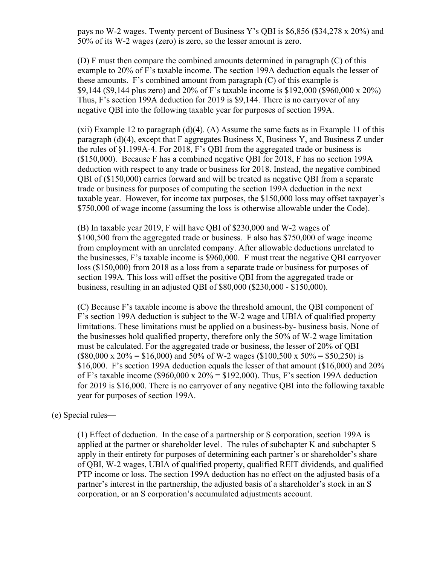pays no W-2 wages. Twenty percent of Business Y's QBI is \$6,856 (\$34,278 x 20%) and 50% of its W-2 wages (zero) is zero, so the lesser amount is zero.

(D) F must then compare the combined amounts determined in paragraph (C) of this example to 20% of F's taxable income. The section 199A deduction equals the lesser of these amounts. F's combined amount from paragraph (C) of this example is \$9,144 (\$9,144 plus zero) and 20% of F's taxable income is \$192,000 (\$960,000 x 20%) Thus, F's section 199A deduction for 2019 is \$9,144. There is no carryover of any negative QBI into the following taxable year for purposes of section 199A.

 $(xii)$  Example 12 to paragraph  $(d)(4)$ .  $(A)$  Assume the same facts as in Example 11 of this paragraph (d)(4), except that F aggregates Business X, Business Y, and Business Z under the rules of §1.199A-4. For 2018, F's QBI from the aggregated trade or business is (\$150,000). Because F has a combined negative QBI for 2018, F has no section 199A deduction with respect to any trade or business for 2018. Instead, the negative combined QBI of (\$150,000) carries forward and will be treated as negative QBI from a separate trade or business for purposes of computing the section 199A deduction in the next taxable year. However, for income tax purposes, the \$150,000 loss may offset taxpayer's \$750,000 of wage income (assuming the loss is otherwise allowable under the Code).

(B) In taxable year 2019, F will have QBI of \$230,000 and W-2 wages of \$100,500 from the aggregated trade or business. F also has \$750,000 of wage income from employment with an unrelated company. After allowable deductions unrelated to the businesses, F's taxable income is \$960,000. F must treat the negative QBI carryover loss (\$150,000) from 2018 as a loss from a separate trade or business for purposes of section 199A. This loss will offset the positive QBI from the aggregated trade or business, resulting in an adjusted QBI of \$80,000 (\$230,000 - \$150,000).

(C) Because F's taxable income is above the threshold amount, the QBI component of F's section 199A deduction is subject to the W-2 wage and UBIA of qualified property limitations. These limitations must be applied on a business-by- business basis. None of the businesses hold qualified property, therefore only the 50% of W-2 wage limitation must be calculated. For the aggregated trade or business, the lesser of 20% of QBI  $($80,000 \times 20\% = $16,000)$  and 50% of W-2 wages  $($100,500 \times 50\% = $50,250)$  is \$16,000. F's section 199A deduction equals the lesser of that amount (\$16,000) and 20% of F's taxable income (\$960,000 x 20% = \$192,000). Thus, F's section 199A deduction for 2019 is \$16,000. There is no carryover of any negative QBI into the following taxable year for purposes of section 199A.

## (e) Special rules—

(1) Effect of deduction. In the case of a partnership or S corporation, section 199A is applied at the partner or shareholder level. The rules of subchapter K and subchapter S apply in their entirety for purposes of determining each partner's or shareholder's share of QBI, W-2 wages, UBIA of qualified property, qualified REIT dividends, and qualified PTP income or loss. The section 199A deduction has no effect on the adjusted basis of a partner's interest in the partnership, the adjusted basis of a shareholder's stock in an S corporation, or an S corporation's accumulated adjustments account.